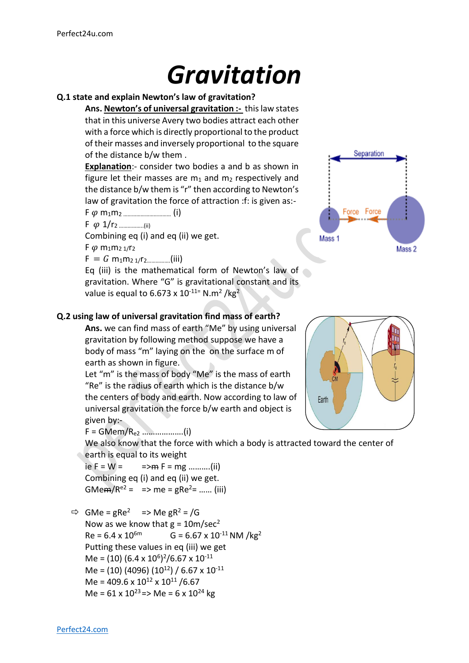# *Gravitation*

#### **Q.1 state and explain Newton's law of gravitation?**

**Ans. Newton's of universal gravitation :-** this law states that in this universe Avery two bodies attract each other with a force which is directly proportional to the product of their masses and inversely proportional to the square of the distance b/w them .

**Explanation**:- consider two bodies a and b as shown in figure let their masses are  $m_1$  and  $m_2$  respectively and the distance b/w them is "r" then according to Newton's law of gravitation the force of attraction :f: is given as:-

F m1m2 …………………………… (i)

F 1/r<sup>2</sup> ……………..(ii)

Combining eq (i) and eq (ii) we get.

 $F \varphi m_1 m_2 \frac{1}{r_2}$ 

 $F = G \text{ m}_1 \text{m}_2 \frac{1}{r_2} \dots \dots \dots \dots \dots$  (iii)

Eq (iii) is the mathematical form of Newton's law of gravitation. Where "G" is gravitational constant and its value is equal to 6.673 x 10<sup>-11=</sup> N.m<sup>2</sup> /kg<sup>2</sup>



#### **Q.2 using law of universal gravitation find mass of earth?**

**Ans.** we can find mass of earth "Me" by using universal gravitation by following method suppose we have a body of mass "m" laying on the on the surface m of earth as shown in figure.

Let "m" is the mass of body "Me" is the mass of earth "Re" is the radius of earth which is the distance b/w the centers of body and earth. Now according to law of universal gravitation the force b/w earth and object is given by:-

F = GMem/Re2 ……………….(i)

We also know that the force with which a body is attracted toward the center of earth is equal to its weight

ie F = W =  $=$  =>m F = mg ..........(ii) Combining eq (i) and eq (ii) we get. GMe $m/R^{e2} = \implies me = gRe^{2} = \dots$  (iii)

 $\Rightarrow$  GMe = gRe<sup>2</sup> => Me gR<sup>2</sup> = /G Now as we know that  $g = 10m/sec^2$  $Re = 6.4 \times 10^{6m}$  G = 6.67 x 10<sup>-11</sup> NM /kg<sup>2</sup> Putting these values in eq (iii) we get Me = (10)  $(6.4 \times 10^6)^2 / 6.67 \times 10^{-11}$ Me =  $(10)$  (4096)  $(10^{12})$  / 6.67 x 10<sup>-11</sup> Me =  $409.6 \times 10^{12} \times 10^{11}$  /6.67 Me =  $61 \times 10^{23}$  => Me =  $6 \times 10^{24}$  kg

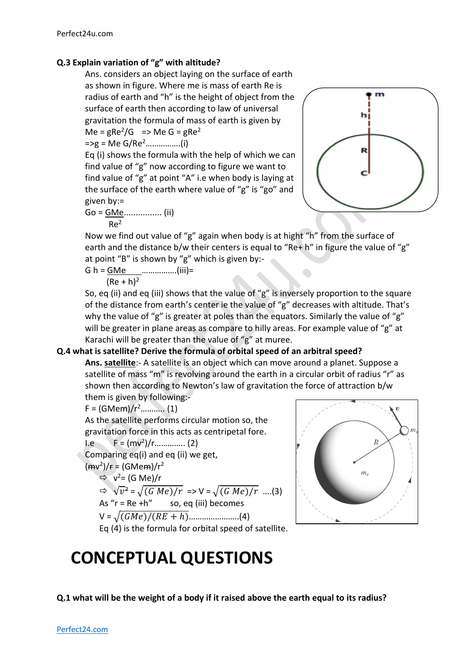### **Q.3 Explain variation of "g" with altitude?**

Ans. considers an object laying on the surface of earth as shown in figure. Where me is mass of earth Re is radius of earth and "h" is the height of object from the surface of earth then according to law of universal gravitation the formula of mass of earth is given by  $Me = gRe<sup>2</sup>/G = Me G = gRe<sup>2</sup>$ 

=>g = Me G/Re<sup>2</sup>…………….(i)

Eq (i) shows the formula with the help of which we can find value of "g" now according to figure we want to find value of "g" at point "A" i.e when body is laying at the surface of the earth where value of "g" is "go" and given by:=

$$
Go = \frac{GMe}{Re^2}
$$
 (ii)



Now we find out value of "g" again when body is at hight "h" from the surface of earth and the distance b/w their centers is equal to "Re+ h" in figure the value of "g" at point "B" is shown by "g" which is given by:-

$$
G h = \underline{G Me}
$$
 ... (iii)=

 $(Re + h)^2$ 

So, eq (ii) and eq (iii) shows that the value of "g" is inversely proportion to the square of the distance from earth's center ie the value of "g" decreases with altitude. That's why the value of "g" is greater at poles than the equators. Similarly the value of "g" will be greater in plane areas as compare to hilly areas. For example value of "g" at Karachi will be greater than the value of "g" at muree.

#### **Q.4 what is satellite? Derive the formula of orbital speed of an arbitral speed?**

**Ans. satellite**:- A satellite is an object which can move around a planet. Suppose a satellite of mass "m" is revolving around the earth in a circular orbit of radius "r" as shown then according to Newton's law of gravitation the force of attraction b/w them is given by following:-

 $F = (GMem)/r^2$ ............ (1) As the satellite performs circular motion so, the gravitation force in this acts as centripetal fore.  $I.e \tF = (mv^2)/r...$  (2) Comparing eq(i) and eq (ii) we get,  $(\text{mv}^2)/\text{F} = (\text{GMem})/r^2$  $\Rightarrow v^2 = (G \text{ Me})/r$  $\Rightarrow \sqrt{v^2} = \sqrt{(G Me)/r} \Rightarrow V = \sqrt{(G Me)/r} \dots (3)$ As " $r = Re + h$ " so, eq (iii) becomes V = √()/( + ℎ)…………………..(4)



## Eq (4) is the formula for orbital speed of satellite.

# **CONCEPTUAL QUESTIONS**

**Q.1 what will be the weight of a body if it raised above the earth equal to its radius?**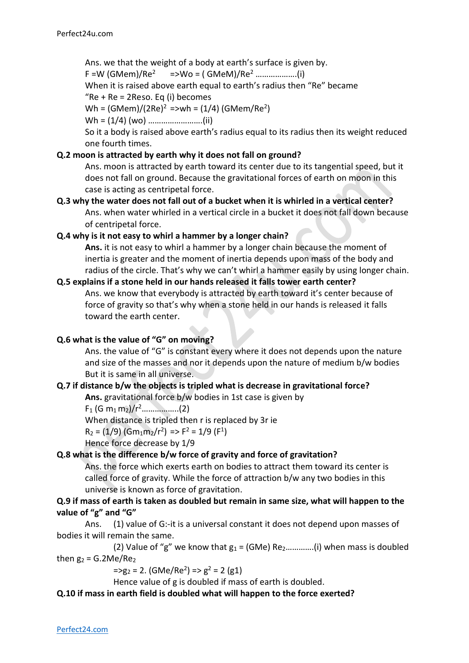Ans. we that the weight of a body at earth's surface is given by.

F =W (GMem)/Re<sup>2</sup> =>Wo = ( GMeM)/Re<sup>2</sup> ……………….(i)

When it is raised above earth equal to earth's radius then "Re" became

" $Re + Re = 2Reso.$  Eq (i) becomes

Wh =  $(GMem)/(2Re)^2$  =>wh =  $(1/4)$  (GMem/Re<sup>2</sup>)

Wh = (1/4) (wo) …………………….(ii)

So it a body is raised above earth's radius equal to its radius then its weight reduced one fourth times.

#### **Q.2 moon is attracted by earth why it does not fall on ground?**

Ans. moon is attracted by earth toward its center due to its tangential speed, but it does not fall on ground. Because the gravitational forces of earth on moon in this case is acting as centripetal force.

**Q.3 why the water does not fall out of a bucket when it is whirled in a vertical center?** Ans. when water whirled in a vertical circle in a bucket it does not fall down because of centripetal force.

#### **Q.4 why is it not easy to whirl a hammer by a longer chain?**

**Ans.** it is not easy to whirl a hammer by a longer chain because the moment of inertia is greater and the moment of inertia depends upon mass of the body and radius of the circle. That's why we can't whirl a hammer easily by using longer chain.

#### **Q.5 explains if a stone held in our hands released it falls tower earth center?**

Ans. we know that everybody is attracted by earth toward it's center because of force of gravity so that's why when a stone held in our hands is released it falls toward the earth center.

#### **Q.6 what is the value of "G" on moving?**

Ans. the value of "G" is constant every where it does not depends upon the nature and size of the masses and nor it depends upon the nature of medium b/w bodies But it is same in all universe.

#### **Q.7 if distance b/w the objects is tripled what is decrease in gravitational force?**

**Ans.** gravitational force b/w bodies in 1st case is given by

F<sup>1</sup> (G m1 m2)/r<sup>2</sup>……………..(2)

When distance is tripled then r is replaced by 3r ie

 $R_2 = (1/9)$  (Gm<sub>1</sub>m<sub>2</sub>/r<sup>2</sup>) => F<sup>2</sup> = 1/9 (F<sup>1</sup>)

Hence force decrease by 1/9

#### **Q.8 what is the difference b/w force of gravity and force of gravitation?**

Ans. the force which exerts earth on bodies to attract them toward its center is called force of gravity. While the force of attraction b/w any two bodies in this universe is known as force of gravitation.

#### **Q.9 if mass of earth is taken as doubled but remain in same size, what will happen to the value of "g" and "G"**

Ans. (1) value of G:-it is a universal constant it does not depend upon masses of bodies it will remain the same.

(2) Value of "g" we know that  $g_1 = (GMe)$  Re<sub>2</sub>.............(i) when mass is doubled then  $g_2$  = G.2Me/Re<sub>2</sub>

 $= >g_2 = 2$ . (GMe/Re<sup>2</sup>) =>  $g^2 = 2$  (g1)

Hence value of g is doubled if mass of earth is doubled.

#### **Q.10 if mass in earth field is doubled what will happen to the force exerted?**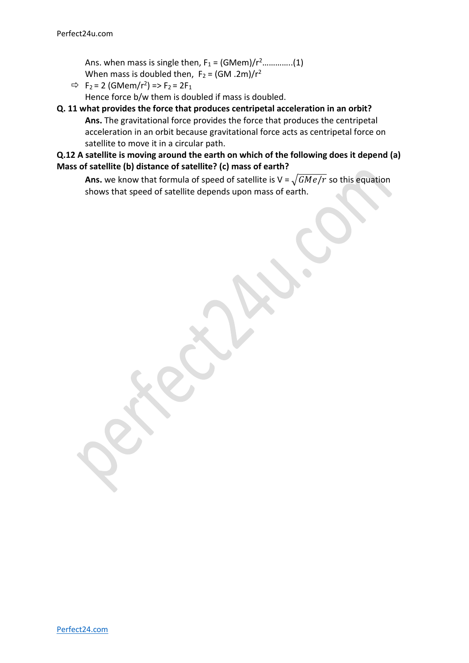Ans. when mass is single then,  $F_1 = (GMem)/r^2$ ..............(1) When mass is doubled then,  $F_2 = (GM \cdot 2m)/r^2$ 

 $\Rightarrow$  F<sub>2</sub> = 2 (GMem/r<sup>2</sup>) => F<sub>2</sub> = 2F<sub>1</sub> Hence force b/w them is doubled if mass is doubled.

#### **Q. 11 what provides the force that produces centripetal acceleration in an orbit? Ans.** The gravitational force provides the force that produces the centripetal acceleration in an orbit because gravitational force acts as centripetal force on satellite to move it in a circular path.

**Q.12 A satellite is moving around the earth on which of the following does it depend (a) Mass of satellite (b) distance of satellite? (c) mass of earth?**

**Ans.** we know that formula of speed of satellite is  $V = \sqrt{GMe/r}$  so this equation shows that speed of satellite depends upon mass of earth.

[Perfect24.com](https://www.perfect24u.com/)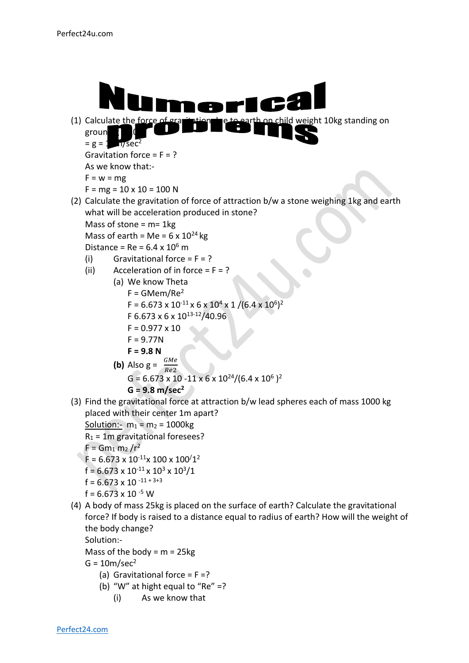

 $G = 10m/sec<sup>2</sup>$ 

- (a) Gravitational force =  $F = ?$
- (b) "W" at hight equal to "Re"  $=$ ?
	- (i) As we know that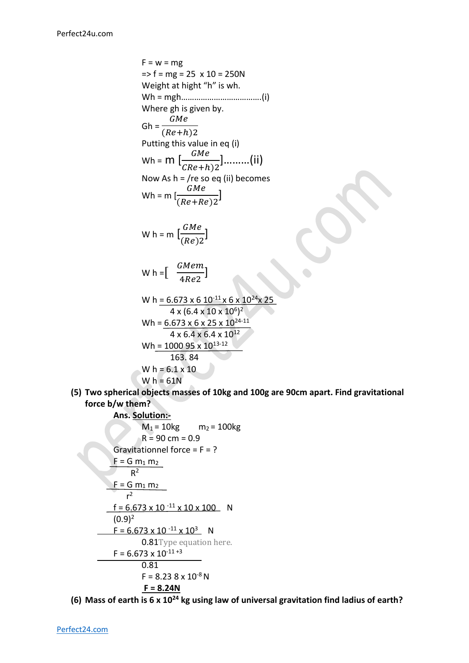$F = w = mg$  $\Rightarrow$  f = mg = 25 x 10 = 250N Weight at hight "h" is wh. Wh = mgh……………………………….(i) Where gh is given by.  $Gh = \frac{1}{(Re+h)2}$ GMe Putting this value in eq (i) Wh =  $\mathsf{m}\ [\frac{GMe}{CRe+h)2}]\dots$ ....(ii) Now As  $h = r$  /re so eq (ii) becomes Wh = m [ GMe  $\frac{Qmc}{(Re+Re)2}$ W h = m  $\left[\frac{GMe}{(Be)^2}\right]$  $\frac{Qmc}{(Re)2}$ Wh =  $\left[\begin{array}{cc} \frac{GMem}{\sqrt{2}} & \frac{GMem}{\sqrt{2}} \end{array}\right]$  $\frac{1}{4Re2}$ ] W h =  $6.673 \times 6 \times 10^{-11} \times 6 \times 10^{24} \times 25$  $4 \times (6.4 \times 10 \times 10^6)^2$ Wh =  $6.673 \times 6 \times 25 \times 10^{24-11}$ 

Wh = 
$$
\frac{6.673 \times 6 \times 25 \times 10^{24-11}}{4 \times 6.4 \times 6.4 \times 10^{12}}
$$
  
Wh = 
$$
\frac{100095 \times 10^{13-12}}{163.84}
$$
  
Wh = 
$$
6.1 \times 10
$$
  
Wh = 
$$
61N
$$

**(5) Two spherical objects masses of 10kg and 100g are 90cm apart. Find gravitational force b/w them?**

**Ans. Solution:-**  $M_1 = 10kg$  m<sub>2</sub> = 100kg  $R = 90$  cm = 0.9 Gravitationnel force =  $F = ?$  $F = G m_1 m_2$  $R^2$  $F = G m_1 m_2$  $r^2$  $f = 6.673 \times 10^{-11} \times 10 \times 100$  N  $(0.9)^2$  $F = 6.673 \times 10^{-11} \times 10^3$  N 0.81Type equation here.  $F = 6.673 \times 10^{-11+3}$ 0.81  $F = 8.238 \times 10^{-8} N$ **F = 8.24N**

**(6) Mass of earth is 6 x 10<sup>24</sup> kg using law of universal gravitation find ladius of earth?**